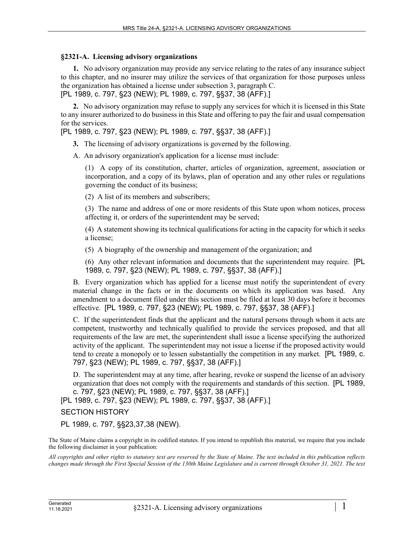## **§2321-A. Licensing advisory organizations**

**1.** No advisory organization may provide any service relating to the rates of any insurance subject to this chapter, and no insurer may utilize the services of that organization for those purposes unless the organization has obtained a license under subsection 3, paragraph C.

[PL 1989, c. 797, §23 (NEW); PL 1989, c. 797, §§37, 38 (AFF).]

**2.** No advisory organization may refuse to supply any services for which it is licensed in this State to any insurer authorized to do business in this State and offering to pay the fair and usual compensation for the services.

[PL 1989, c. 797, §23 (NEW); PL 1989, c. 797, §§37, 38 (AFF).]

**3.** The licensing of advisory organizations is governed by the following.

A. An advisory organization's application for a license must include:

(1) A copy of its constitution, charter, articles of organization, agreement, association or incorporation, and a copy of its bylaws, plan of operation and any other rules or regulations governing the conduct of its business;

(2) A list of its members and subscribers;

(3) The name and address of one or more residents of this State upon whom notices, process affecting it, or orders of the superintendent may be served;

(4) A statement showing its technical qualifications for acting in the capacity for which it seeks a license;

(5) A biography of the ownership and management of the organization; and

(6) Any other relevant information and documents that the superintendent may require. [PL 1989, c. 797, §23 (NEW); PL 1989, c. 797, §§37, 38 (AFF).]

B. Every organization which has applied for a license must notify the superintendent of every material change in the facts or in the documents on which its application was based. Any amendment to a document filed under this section must be filed at least 30 days before it becomes effective. [PL 1989, c. 797, §23 (NEW); PL 1989, c. 797, §§37, 38 (AFF).]

C. If the superintendent finds that the applicant and the natural persons through whom it acts are competent, trustworthy and technically qualified to provide the services proposed, and that all requirements of the law are met, the superintendent shall issue a license specifying the authorized activity of the applicant. The superintendent may not issue a license if the proposed activity would tend to create a monopoly or to lessen substantially the competition in any market. [PL 1989, c. 797, §23 (NEW); PL 1989, c. 797, §§37, 38 (AFF).]

D. The superintendent may at any time, after hearing, revoke or suspend the license of an advisory organization that does not comply with the requirements and standards of this section. [PL 1989, c. 797, §23 (NEW); PL 1989, c. 797, §§37, 38 (AFF).]

[PL 1989, c. 797, §23 (NEW); PL 1989, c. 797, §§37, 38 (AFF).]

SECTION HISTORY

PL 1989, c. 797, §§23,37,38 (NEW).

The State of Maine claims a copyright in its codified statutes. If you intend to republish this material, we require that you include the following disclaimer in your publication:

*All copyrights and other rights to statutory text are reserved by the State of Maine. The text included in this publication reflects changes made through the First Special Session of the 130th Maine Legislature and is current through October 31, 2021. The text*